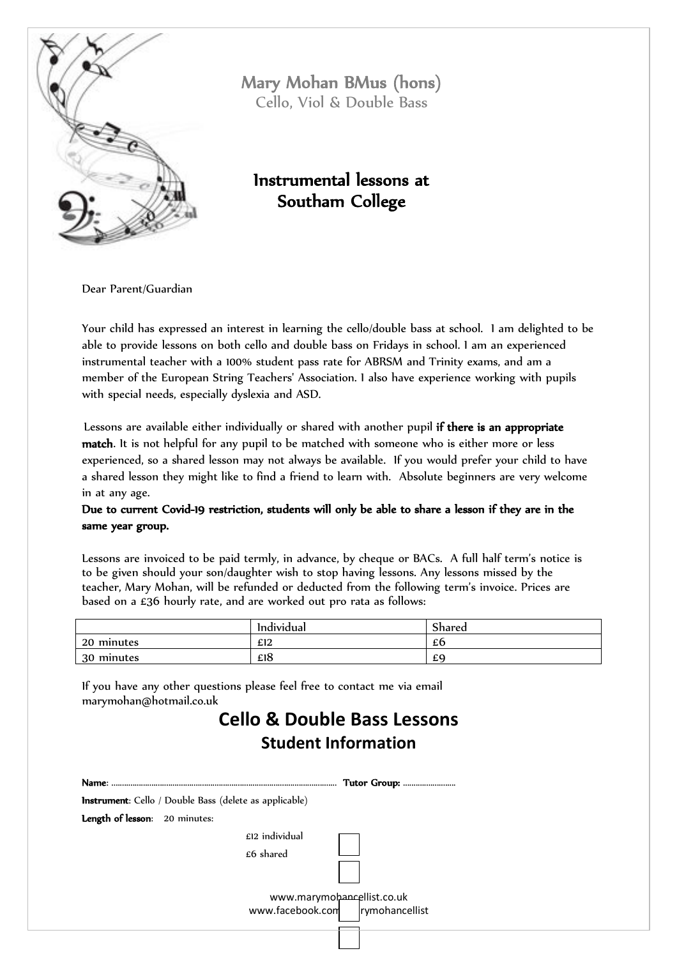

Mary Mohan BMus (hons) Cello, Viol & Double Bass

## Instrumental lessons at Southam College

Dear Parent/Guardian

Your child has expressed an interest in learning the cello/double bass at school. I am delighted to be able to provide lessons on both cello and double bass on Fridays in school. I am an experienced instrumental teacher with a 100% student pass rate for ABRSM and Trinity exams, and am a member of the European String Teachers' Association. I also have experience working with pupils with special needs, especially dyslexia and ASD.

Lessons are available either individually or shared with another pupil if there is an appropriate match. It is not helpful for any pupil to be matched with someone who is either more or less experienced, so a shared lesson may not always be available. If you would prefer your child to have a shared lesson they might like to find a friend to learn with. Absolute beginners are very welcome in at any age.

Due to current Covid-19 restriction, students will only be able to share a lesson if they are in the same year group.

Lessons are invoiced to be paid termly, in advance, by cheque or BACs. A full half term's notice is to be given should your son/daughter wish to stop having lessons. Any lessons missed by the teacher, Mary Mohan, will be refunded or deducted from the following term's invoice. Prices are based on a £36 hourly rate, and are worked out pro rata as follows:

|            | .<br>Individual | $\sim$<br>Shared |
|------------|-----------------|------------------|
| 20 minutes | £12             | £6               |
| 30 minutes | £18             | £9               |

If you have any other questions please feel free to contact me via email marymohan@hotmail.co.uk

## **Cello & Double Bass Lessons Student Information**

| Name:                         | <b>Tutor Group: </b>                                           |
|-------------------------------|----------------------------------------------------------------|
|                               | <b>Instrument</b> : Cello / Double Bass (delete as applicable) |
| Length of lesson: 20 minutes: |                                                                |
|                               | £12 individual                                                 |
|                               | £6 shared                                                      |
|                               |                                                                |
|                               |                                                                |
|                               | www.marymohancellist.co.uk<br>www.facebook.com rymohancellist  |
|                               |                                                                |